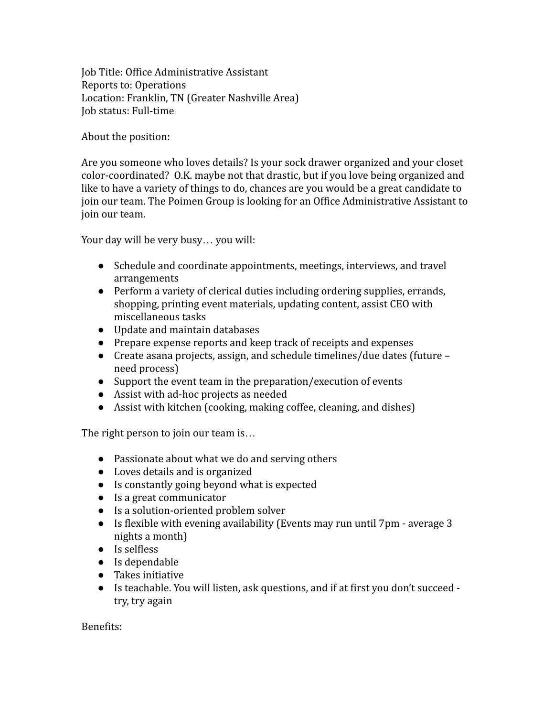Job Title: Office Administrative Assistant Reports to: Operations Location: Franklin, TN (Greater Nashville Area) Job status: Full-time

About the position:

Are you someone who loves details? Is your sock drawer organized and your closet color-coordinated? O.K. maybe not that drastic, but if you love being organized and like to have a variety of things to do, chances are you would be a great candidate to join our team. The Poimen Group is looking for an Office Administrative Assistant to join our team.

Your day will be very busy… you will:

- Schedule and coordinate appointments, meetings, interviews, and travel arrangements
- Perform a variety of clerical duties including ordering supplies, errands, shopping, printing event materials, updating content, assist CEO with miscellaneous tasks
- Update and maintain databases
- Prepare expense reports and keep track of receipts and expenses
- Create asana projects, assign, and schedule timelines/due dates (future need process)
- Support the event team in the preparation/execution of events
- Assist with ad-hoc projects as needed
- Assist with kitchen (cooking, making coffee, cleaning, and dishes)

The right person to join our team is…

- Passionate about what we do and serving others
- Loves details and is organized
- Is constantly going beyond what is expected
- Is a great communicator
- Is a solution-oriented problem solver
- Is flexible with evening availability (Events may run until 7pm average 3 nights a month)
- Is selfless
- Is dependable
- Takes initiative
- Is teachable. You will listen, ask questions, and if at first you don't succeed try, try again

Benefits: